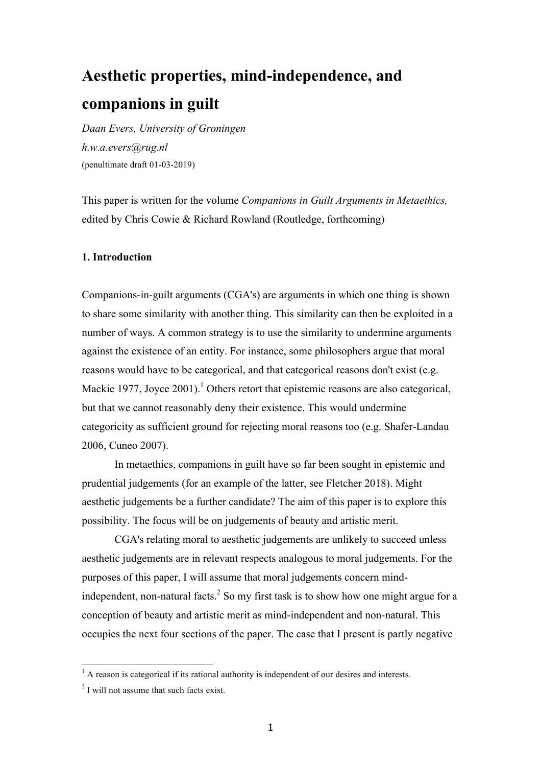# **Aesthetic properties, mind-independence, and companions in guilt**

*Daan Evers, University of Groningen h.w.a.evers@rug.nl* (penultimate draft 01-03-2019)

This paper is written for the volume *Companions in Guilt Arguments in Metaethics,*  edited by Chris Cowie & Richard Rowland (Routledge, forthcoming)

# **1. Introduction**

Companions-in-guilt arguments (CGA's) are arguments in which one thing is shown to share some similarity with another thing. This similarity can then be exploited in a number of ways. A common strategy is to use the similarity to undermine arguments against the existence of an entity. For instance, some philosophers argue that moral reasons would have to be categorical, and that categorical reasons don't exist (e.g. Mackie 1977, Joyce  $2001$ <sup>1</sup>. Others retort that epistemic reasons are also categorical, but that we cannot reasonably deny their existence. This would undermine categoricity as sufficient ground for rejecting moral reasons too (e.g. Shafer-Landau 2006, Cuneo 2007).

In metaethics, companions in guilt have so far been sought in epistemic and prudential judgements (for an example of the latter, see Fletcher 2018). Might aesthetic judgements be a further candidate? The aim of this paper is to explore this possibility. The focus will be on judgements of beauty and artistic merit.

CGA's relating moral to aesthetic judgements are unlikely to succeed unless aesthetic judgements are in relevant respects analogous to moral judgements. For the purposes of this paper, I will assume that moral judgements concern mindindependent, non-natural facts. $^{2}$  So my first task is to show how one might argue for a conception of beauty and artistic merit as mind-independent and non-natural. This occupies the next four sections of the paper. The case that I present is partly negative

 $1 \text{ A}$  reason is categorical if its rational authority is independent of our desires and interests.

 $2$  I will not assume that such facts exist.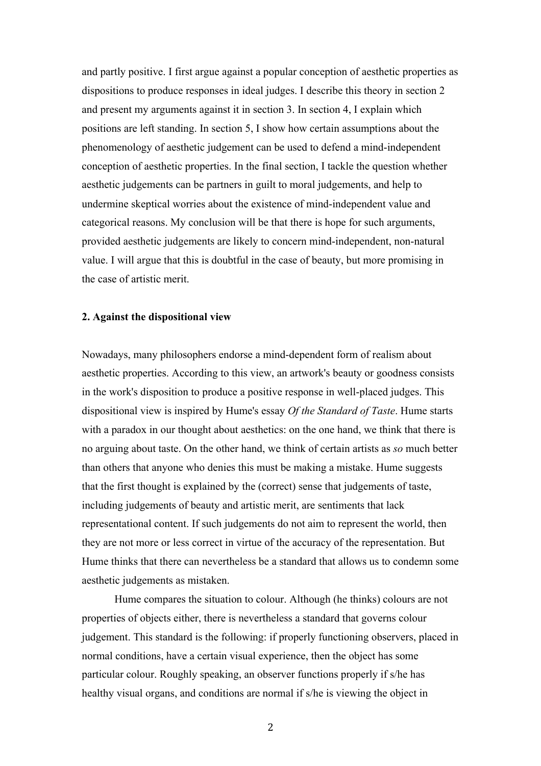and partly positive. I first argue against a popular conception of aesthetic properties as dispositions to produce responses in ideal judges. I describe this theory in section 2 and present my arguments against it in section 3. In section 4, I explain which positions are left standing. In section 5, I show how certain assumptions about the phenomenology of aesthetic judgement can be used to defend a mind-independent conception of aesthetic properties. In the final section, I tackle the question whether aesthetic judgements can be partners in guilt to moral judgements, and help to undermine skeptical worries about the existence of mind-independent value and categorical reasons. My conclusion will be that there is hope for such arguments, provided aesthetic judgements are likely to concern mind-independent, non-natural value. I will argue that this is doubtful in the case of beauty, but more promising in the case of artistic merit.

### **2. Against the dispositional view**

Nowadays, many philosophers endorse a mind-dependent form of realism about aesthetic properties. According to this view, an artwork's beauty or goodness consists in the work's disposition to produce a positive response in well-placed judges. This dispositional view is inspired by Hume's essay *Of the Standard of Taste*. Hume starts with a paradox in our thought about aesthetics: on the one hand, we think that there is no arguing about taste. On the other hand, we think of certain artists as *so* much better than others that anyone who denies this must be making a mistake. Hume suggests that the first thought is explained by the (correct) sense that judgements of taste, including judgements of beauty and artistic merit, are sentiments that lack representational content. If such judgements do not aim to represent the world, then they are not more or less correct in virtue of the accuracy of the representation. But Hume thinks that there can nevertheless be a standard that allows us to condemn some aesthetic judgements as mistaken.

Hume compares the situation to colour. Although (he thinks) colours are not properties of objects either, there is nevertheless a standard that governs colour judgement. This standard is the following: if properly functioning observers, placed in normal conditions, have a certain visual experience, then the object has some particular colour. Roughly speaking, an observer functions properly if s/he has healthy visual organs, and conditions are normal if s/he is viewing the object in

2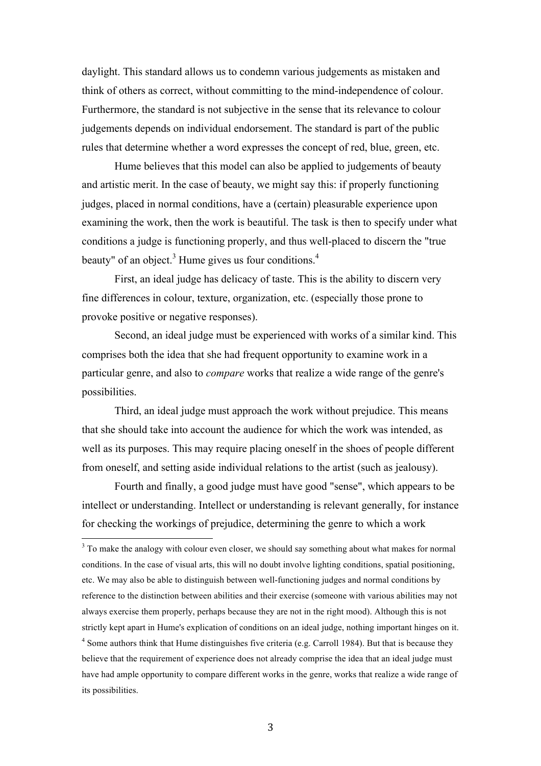daylight. This standard allows us to condemn various judgements as mistaken and think of others as correct, without committing to the mind-independence of colour. Furthermore, the standard is not subjective in the sense that its relevance to colour judgements depends on individual endorsement. The standard is part of the public rules that determine whether a word expresses the concept of red, blue, green, etc.

Hume believes that this model can also be applied to judgements of beauty and artistic merit. In the case of beauty, we might say this: if properly functioning judges, placed in normal conditions, have a (certain) pleasurable experience upon examining the work, then the work is beautiful. The task is then to specify under what conditions a judge is functioning properly, and thus well-placed to discern the "true beauty" of an object.<sup>3</sup> Hume gives us four conditions.<sup>4</sup>

First, an ideal judge has delicacy of taste. This is the ability to discern very fine differences in colour, texture, organization, etc. (especially those prone to provoke positive or negative responses).

Second, an ideal judge must be experienced with works of a similar kind. This comprises both the idea that she had frequent opportunity to examine work in a particular genre, and also to *compare* works that realize a wide range of the genre's possibilities.

Third, an ideal judge must approach the work without prejudice. This means that she should take into account the audience for which the work was intended, as well as its purposes. This may require placing oneself in the shoes of people different from oneself, and setting aside individual relations to the artist (such as jealousy).

Fourth and finally, a good judge must have good "sense", which appears to be intellect or understanding. Intellect or understanding is relevant generally, for instance for checking the workings of prejudice, determining the genre to which a work

<sup>&</sup>lt;sup>3</sup> To make the analogy with colour even closer, we should say something about what makes for normal conditions. In the case of visual arts, this will no doubt involve lighting conditions, spatial positioning, etc. We may also be able to distinguish between well-functioning judges and normal conditions by reference to the distinction between abilities and their exercise (someone with various abilities may not always exercise them properly, perhaps because they are not in the right mood). Although this is not strictly kept apart in Hume's explication of conditions on an ideal judge, nothing important hinges on it. <sup>4</sup> Some authors think that Hume distinguishes five criteria (e.g. Carroll 1984). But that is because they believe that the requirement of experience does not already comprise the idea that an ideal judge must have had ample opportunity to compare different works in the genre, works that realize a wide range of its possibilities.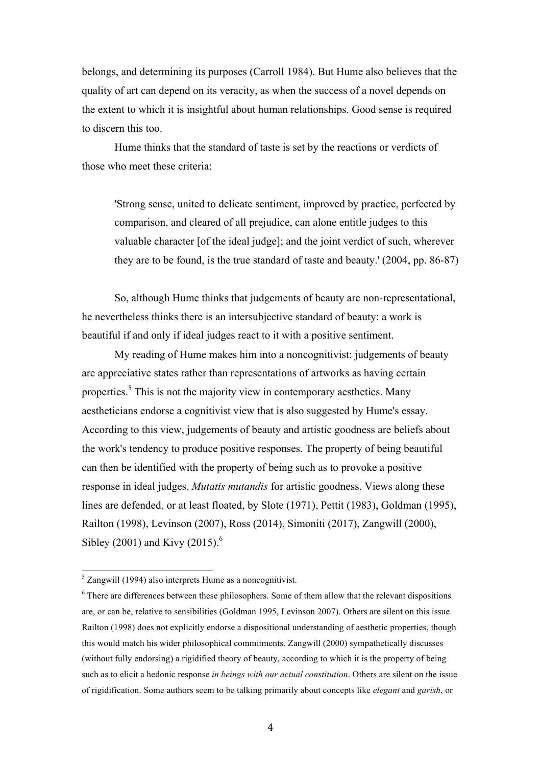belongs, and determining its purposes (Carroll 1984). But Hume also believes that the quality of art can depend on its veracity, as when the success of a novel depends on the extent to which it is insightful about human relationships. Good sense is required to discern this too.

Hume thinks that the standard of taste is set by the reactions or verdicts of those who meet these criteria:

'Strong sense, united to delicate sentiment, improved by practice, perfected by comparison, and cleared of all prejudice, can alone entitle judges to this valuable character [of the ideal judge]; and the joint verdict of such, wherever they are to be found, is the true standard of taste and beauty.' (2004, pp. 86-87)

So, although Hume thinks that judgements of beauty are non-representational, he nevertheless thinks there is an intersubjective standard of beauty: a work is beautiful if and only if ideal judges react to it with a positive sentiment.

My reading of Hume makes him into a noncognitivist: judgements of beauty are appreciative states rather than representations of artworks as having certain properties.<sup>5</sup> This is not the majority view in contemporary aesthetics. Many aestheticians endorse a cognitivist view that is also suggested by Hume's essay. According to this view, judgements of beauty and artistic goodness are beliefs about the work's tendency to produce positive responses. The property of being beautiful can then be identified with the property of being such as to provoke a positive response in ideal judges. *Mutatis mutandis* for artistic goodness. Views along these lines are defended, or at least floated, by Slote (1971), Pettit (1983), Goldman (1995), Railton (1998), Levinson (2007), Ross (2014), Simoniti (2017), Zangwill (2000), Sibley (2001) and Kivy (2015).<sup>6</sup>

 $<sup>5</sup>$  Zangwill (1994) also interprets Hume as a noncognitivist.</sup>

<sup>&</sup>lt;sup>6</sup> There are differences between these philosophers. Some of them allow that the relevant dispositions are, or can be, relative to sensibilities (Goldman 1995, Levinson 2007). Others are silent on this issue. Railton (1998) does not explicitly endorse a dispositional understanding of aesthetic properties, though this would match his wider philosophical commitments. Zangwill (2000) sympathetically discusses (without fully endorsing) a rigidified theory of beauty, according to which it is the property of being such as to elicit a hedonic response *in beings with our actual constitution*. Others are silent on the issue of rigidification. Some authors seem to be talking primarily about concepts like *elegant* and *garish*, or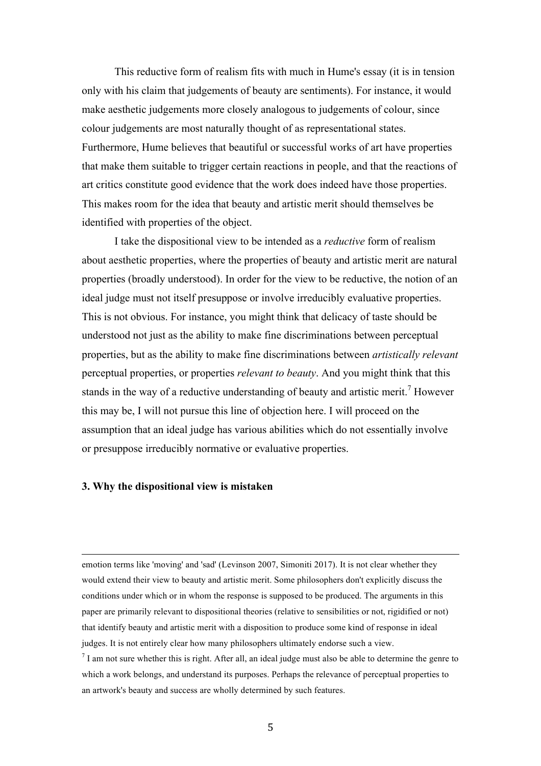This reductive form of realism fits with much in Hume's essay (it is in tension only with his claim that judgements of beauty are sentiments). For instance, it would make aesthetic judgements more closely analogous to judgements of colour, since colour judgements are most naturally thought of as representational states. Furthermore, Hume believes that beautiful or successful works of art have properties that make them suitable to trigger certain reactions in people, and that the reactions of art critics constitute good evidence that the work does indeed have those properties. This makes room for the idea that beauty and artistic merit should themselves be identified with properties of the object.

I take the dispositional view to be intended as a *reductive* form of realism about aesthetic properties, where the properties of beauty and artistic merit are natural properties (broadly understood). In order for the view to be reductive, the notion of an ideal judge must not itself presuppose or involve irreducibly evaluative properties. This is not obvious. For instance, you might think that delicacy of taste should be understood not just as the ability to make fine discriminations between perceptual properties, but as the ability to make fine discriminations between *artistically relevant* perceptual properties, or properties *relevant to beauty*. And you might think that this stands in the way of a reductive understanding of beauty and artistic merit.<sup>7</sup> However this may be, I will not pursue this line of objection here. I will proceed on the assumption that an ideal judge has various abilities which do not essentially involve or presuppose irreducibly normative or evaluative properties.

# **3. Why the dispositional view is mistaken**

emotion terms like 'moving' and 'sad' (Levinson 2007, Simoniti 2017). It is not clear whether they would extend their view to beauty and artistic merit. Some philosophers don't explicitly discuss the conditions under which or in whom the response is supposed to be produced. The arguments in this paper are primarily relevant to dispositional theories (relative to sensibilities or not, rigidified or not) that identify beauty and artistic merit with a disposition to produce some kind of response in ideal judges. It is not entirely clear how many philosophers ultimately endorse such a view.

<u> 1989 - Andrea Santa Alemania, poeta esperanto-se especial de la propia de la propia de la propia de la propia</u>

 $<sup>7</sup>$  I am not sure whether this is right. After all, an ideal judge must also be able to determine the genre to</sup> which a work belongs, and understand its purposes. Perhaps the relevance of perceptual properties to an artwork's beauty and success are wholly determined by such features.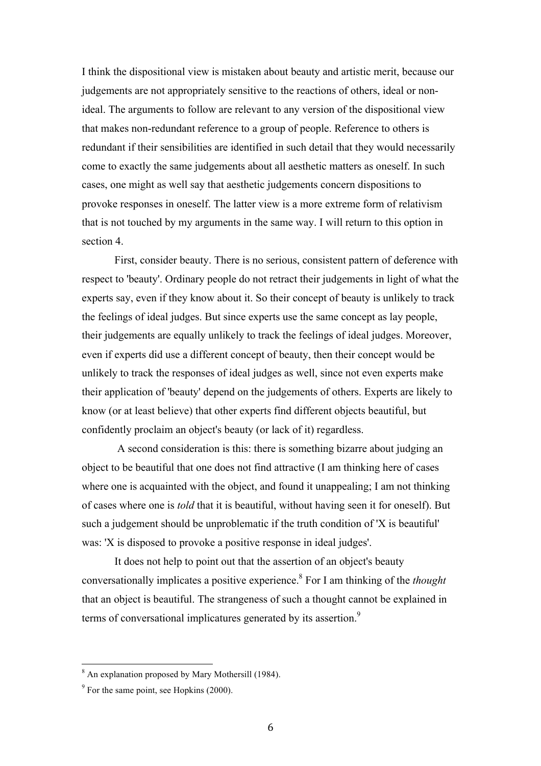I think the dispositional view is mistaken about beauty and artistic merit, because our judgements are not appropriately sensitive to the reactions of others, ideal or nonideal. The arguments to follow are relevant to any version of the dispositional view that makes non-redundant reference to a group of people. Reference to others is redundant if their sensibilities are identified in such detail that they would necessarily come to exactly the same judgements about all aesthetic matters as oneself. In such cases, one might as well say that aesthetic judgements concern dispositions to provoke responses in oneself. The latter view is a more extreme form of relativism that is not touched by my arguments in the same way. I will return to this option in section 4.

First, consider beauty. There is no serious, consistent pattern of deference with respect to 'beauty'. Ordinary people do not retract their judgements in light of what the experts say, even if they know about it. So their concept of beauty is unlikely to track the feelings of ideal judges. But since experts use the same concept as lay people, their judgements are equally unlikely to track the feelings of ideal judges. Moreover, even if experts did use a different concept of beauty, then their concept would be unlikely to track the responses of ideal judges as well, since not even experts make their application of 'beauty' depend on the judgements of others. Experts are likely to know (or at least believe) that other experts find different objects beautiful, but confidently proclaim an object's beauty (or lack of it) regardless.

A second consideration is this: there is something bizarre about judging an object to be beautiful that one does not find attractive (I am thinking here of cases where one is acquainted with the object, and found it unappealing; I am not thinking of cases where one is *told* that it is beautiful, without having seen it for oneself). But such a judgement should be unproblematic if the truth condition of 'X is beautiful' was: 'X is disposed to provoke a positive response in ideal judges'.

It does not help to point out that the assertion of an object's beauty conversationally implicates a positive experience.8 For I am thinking of the *thought* that an object is beautiful. The strangeness of such a thought cannot be explained in terms of conversational implicatures generated by its assertion.<sup>9</sup>

 <sup>8</sup> An explanation proposed by Mary Mothersill (1984).

 $9^9$  For the same point, see Hopkins (2000).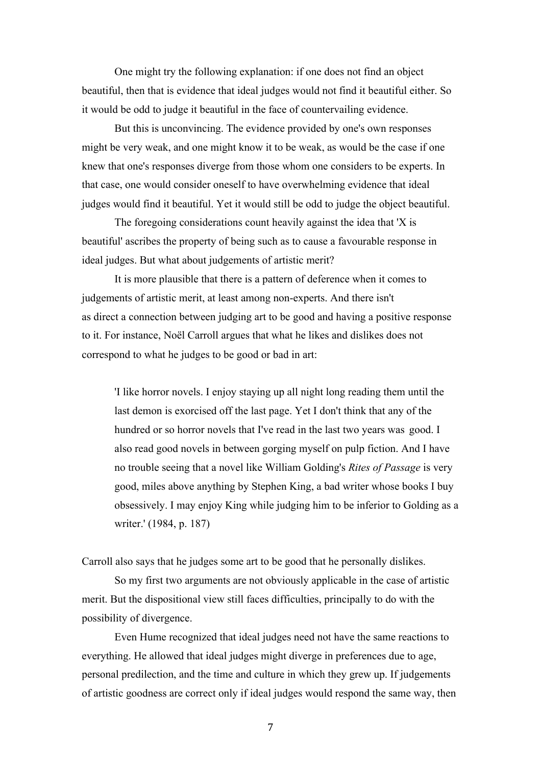One might try the following explanation: if one does not find an object beautiful, then that is evidence that ideal judges would not find it beautiful either. So it would be odd to judge it beautiful in the face of countervailing evidence.

But this is unconvincing. The evidence provided by one's own responses might be very weak, and one might know it to be weak, as would be the case if one knew that one's responses diverge from those whom one considers to be experts. In that case, one would consider oneself to have overwhelming evidence that ideal judges would find it beautiful. Yet it would still be odd to judge the object beautiful.

The foregoing considerations count heavily against the idea that 'X is beautiful' ascribes the property of being such as to cause a favourable response in ideal judges. But what about judgements of artistic merit?

It is more plausible that there is a pattern of deference when it comes to judgements of artistic merit, at least among non-experts. And there isn't as direct a connection between judging art to be good and having a positive response to it. For instance, Noël Carroll argues that what he likes and dislikes does not correspond to what he judges to be good or bad in art:

'I like horror novels. I enjoy staying up all night long reading them until the last demon is exorcised off the last page. Yet I don't think that any of the hundred or so horror novels that I've read in the last two years was good. I also read good novels in between gorging myself on pulp fiction. And I have no trouble seeing that a novel like William Golding's *Rites of Passage* is very good, miles above anything by Stephen King, a bad writer whose books I buy obsessively. I may enjoy King while judging him to be inferior to Golding as a writer.' (1984, p. 187)

Carroll also says that he judges some art to be good that he personally dislikes.

So my first two arguments are not obviously applicable in the case of artistic merit. But the dispositional view still faces difficulties, principally to do with the possibility of divergence.

Even Hume recognized that ideal judges need not have the same reactions to everything. He allowed that ideal judges might diverge in preferences due to age, personal predilection, and the time and culture in which they grew up. If judgements of artistic goodness are correct only if ideal judges would respond the same way, then

7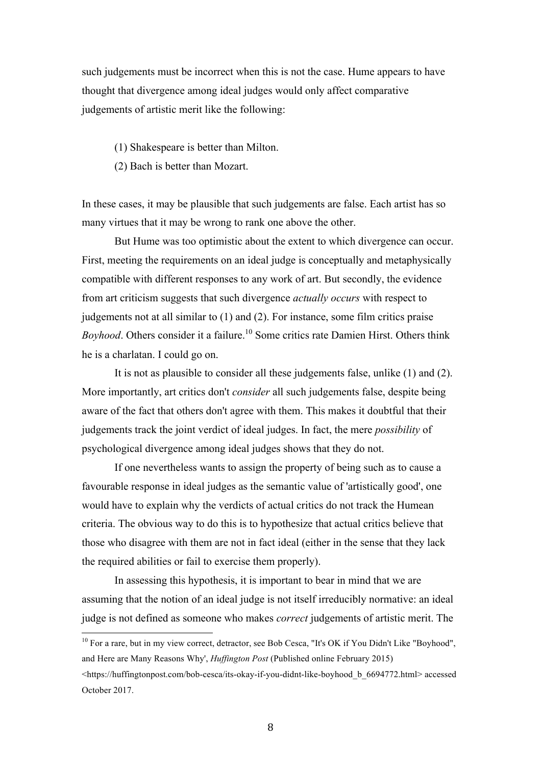such judgements must be incorrect when this is not the case. Hume appears to have thought that divergence among ideal judges would only affect comparative judgements of artistic merit like the following:

- (1) Shakespeare is better than Milton.
- (2) Bach is better than Mozart.

In these cases, it may be plausible that such judgements are false. Each artist has so many virtues that it may be wrong to rank one above the other.

But Hume was too optimistic about the extent to which divergence can occur. First, meeting the requirements on an ideal judge is conceptually and metaphysically compatible with different responses to any work of art. But secondly, the evidence from art criticism suggests that such divergence *actually occurs* with respect to judgements not at all similar to (1) and (2). For instance, some film critics praise *Boyhood*. Others consider it a failure.<sup>10</sup> Some critics rate Damien Hirst. Others think he is a charlatan. I could go on.

It is not as plausible to consider all these judgements false, unlike (1) and (2). More importantly, art critics don't *consider* all such judgements false, despite being aware of the fact that others don't agree with them. This makes it doubtful that their judgements track the joint verdict of ideal judges. In fact, the mere *possibility* of psychological divergence among ideal judges shows that they do not.

If one nevertheless wants to assign the property of being such as to cause a favourable response in ideal judges as the semantic value of 'artistically good', one would have to explain why the verdicts of actual critics do not track the Humean criteria. The obvious way to do this is to hypothesize that actual critics believe that those who disagree with them are not in fact ideal (either in the sense that they lack the required abilities or fail to exercise them properly).

In assessing this hypothesis, it is important to bear in mind that we are assuming that the notion of an ideal judge is not itself irreducibly normative: an ideal judge is not defined as someone who makes *correct* judgements of artistic merit. The

<sup>&</sup>lt;sup>10</sup> For a rare, but in my view correct, detractor, see Bob Cesca, "It's OK if You Didn't Like "Boyhood", and Here are Many Reasons Why', *Huffington Post* (Published online February 2015) <https://huffingtonpost.com/bob-cesca/its-okay-if-you-didnt-like-boyhood\_b\_6694772.html> accessed October 2017.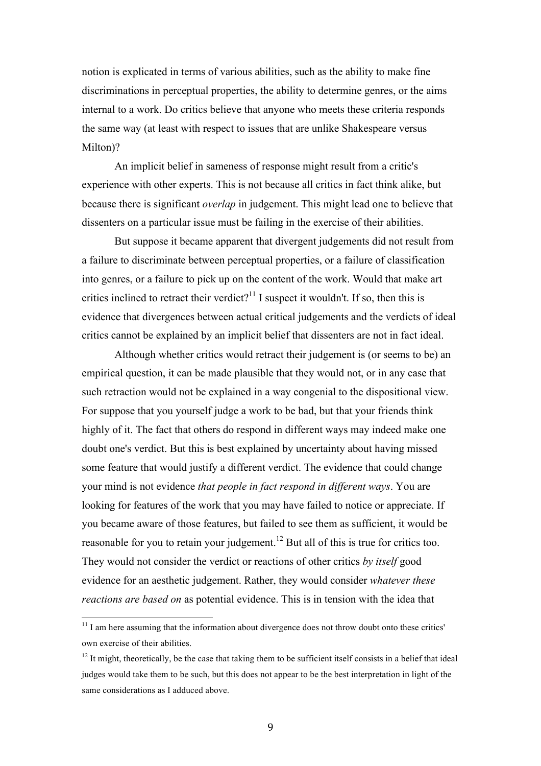notion is explicated in terms of various abilities, such as the ability to make fine discriminations in perceptual properties, the ability to determine genres, or the aims internal to a work. Do critics believe that anyone who meets these criteria responds the same way (at least with respect to issues that are unlike Shakespeare versus Milton)?

An implicit belief in sameness of response might result from a critic's experience with other experts. This is not because all critics in fact think alike, but because there is significant *overlap* in judgement. This might lead one to believe that dissenters on a particular issue must be failing in the exercise of their abilities.

But suppose it became apparent that divergent judgements did not result from a failure to discriminate between perceptual properties, or a failure of classification into genres, or a failure to pick up on the content of the work. Would that make art critics inclined to retract their verdict?<sup>11</sup> I suspect it wouldn't. If so, then this is evidence that divergences between actual critical judgements and the verdicts of ideal critics cannot be explained by an implicit belief that dissenters are not in fact ideal.

Although whether critics would retract their judgement is (or seems to be) an empirical question, it can be made plausible that they would not, or in any case that such retraction would not be explained in a way congenial to the dispositional view. For suppose that you yourself judge a work to be bad, but that your friends think highly of it. The fact that others do respond in different ways may indeed make one doubt one's verdict. But this is best explained by uncertainty about having missed some feature that would justify a different verdict. The evidence that could change your mind is not evidence *that people in fact respond in different ways*. You are looking for features of the work that you may have failed to notice or appreciate. If you became aware of those features, but failed to see them as sufficient, it would be reasonable for you to retain your judgement.<sup>12</sup> But all of this is true for critics too. They would not consider the verdict or reactions of other critics *by itself* good evidence for an aesthetic judgement. Rather, they would consider *whatever these reactions are based on* as potential evidence. This is in tension with the idea that

 $11$  I am here assuming that the information about divergence does not throw doubt onto these critics' own exercise of their abilities.

 $12$  It might, theoretically, be the case that taking them to be sufficient itself consists in a belief that ideal judges would take them to be such, but this does not appear to be the best interpretation in light of the same considerations as I adduced above.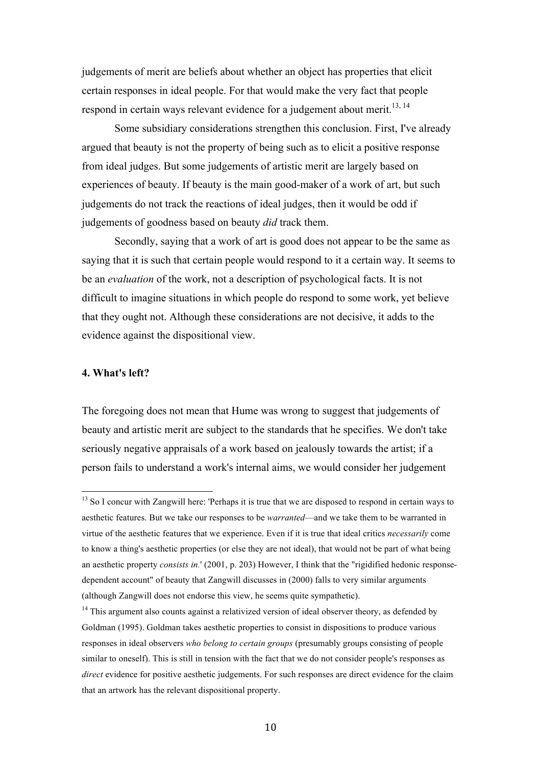judgements of merit are beliefs about whether an object has properties that elicit certain responses in ideal people. For that would make the very fact that people respond in certain ways relevant evidence for a judgement about merit.<sup>13, 14</sup>

Some subsidiary considerations strengthen this conclusion. First, I've already argued that beauty is not the property of being such as to elicit a positive response from ideal judges. But some judgements of artistic merit are largely based on experiences of beauty. If beauty is the main good-maker of a work of art, but such judgements do not track the reactions of ideal judges, then it would be odd if judgements of goodness based on beauty *did* track them.

Secondly, saying that a work of art is good does not appear to be the same as saying that it is such that certain people would respond to it a certain way. It seems to be an *evaluation* of the work, not a description of psychological facts. It is not difficult to imagine situations in which people do respond to some work, yet believe that they ought not. Although these considerations are not decisive, it adds to the evidence against the dispositional view.

## **4. What's left?**

The foregoing does not mean that Hume was wrong to suggest that judgements of beauty and artistic merit are subject to the standards that he specifies. We don't take seriously negative appraisals of a work based on jealously towards the artist; if a person fails to understand a work's internal aims, we would consider her judgement

<sup>&</sup>lt;sup>13</sup> So I concur with Zangwill here: 'Perhaps it is true that we are disposed to respond in certain ways to aesthetic features. But we take our responses to be *warranted*—and we take them to be warranted in virtue of the aesthetic features that we experience. Even if it is true that ideal critics *necessarily* come to know a thing's aesthetic properties (or else they are not ideal), that would not be part of what being an aesthetic property *consists in.*' (2001, p. 203) However, I think that the "rigidified hedonic responsedependent account" of beauty that Zangwill discusses in (2000) falls to very similar arguments (although Zangwill does not endorse this view, he seems quite sympathetic).

 $14$  This argument also counts against a relativized version of ideal observer theory, as defended by Goldman (1995). Goldman takes aesthetic properties to consist in dispositions to produce various responses in ideal observers *who belong to certain groups* (presumably groups consisting of people similar to oneself). This is still in tension with the fact that we do not consider people's responses as *direct* evidence for positive aesthetic judgements. For such responses are direct evidence for the claim that an artwork has the relevant dispositional property.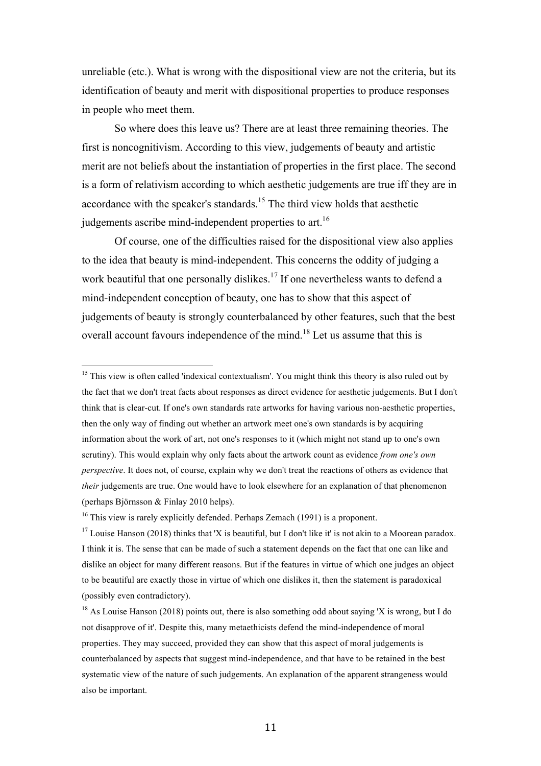unreliable (etc.). What is wrong with the dispositional view are not the criteria, but its identification of beauty and merit with dispositional properties to produce responses in people who meet them.

So where does this leave us? There are at least three remaining theories. The first is noncognitivism. According to this view, judgements of beauty and artistic merit are not beliefs about the instantiation of properties in the first place. The second is a form of relativism according to which aesthetic judgements are true iff they are in accordance with the speaker's standards.<sup>15</sup> The third view holds that aesthetic judgements ascribe mind-independent properties to art.<sup>16</sup>

Of course, one of the difficulties raised for the dispositional view also applies to the idea that beauty is mind-independent. This concerns the oddity of judging a work beautiful that one personally dislikes.<sup>17</sup> If one nevertheless wants to defend a mind-independent conception of beauty, one has to show that this aspect of judgements of beauty is strongly counterbalanced by other features, such that the best overall account favours independence of the mind.<sup>18</sup> Let us assume that this is

<sup>16</sup> This view is rarely explicitly defended. Perhaps Zemach (1991) is a proponent.

<sup>&</sup>lt;sup>15</sup> This view is often called 'indexical contextualism'. You might think this theory is also ruled out by the fact that we don't treat facts about responses as direct evidence for aesthetic judgements. But I don't think that is clear-cut. If one's own standards rate artworks for having various non-aesthetic properties, then the only way of finding out whether an artwork meet one's own standards is by acquiring information about the work of art, not one's responses to it (which might not stand up to one's own scrutiny). This would explain why only facts about the artwork count as evidence *from one's own perspective*. It does not, of course, explain why we don't treat the reactions of others as evidence that *their* judgements are true. One would have to look elsewhere for an explanation of that phenomenon (perhaps Björnsson & Finlay 2010 helps).

 $17$  Louise Hanson (2018) thinks that 'X is beautiful, but I don't like it' is not akin to a Moorean paradox. I think it is. The sense that can be made of such a statement depends on the fact that one can like and dislike an object for many different reasons. But if the features in virtue of which one judges an object to be beautiful are exactly those in virtue of which one dislikes it, then the statement is paradoxical (possibly even contradictory).

<sup>&</sup>lt;sup>18</sup> As Louise Hanson (2018) points out, there is also something odd about saying 'X is wrong, but I do not disapprove of it'. Despite this, many metaethicists defend the mind-independence of moral properties. They may succeed, provided they can show that this aspect of moral judgements is counterbalanced by aspects that suggest mind-independence, and that have to be retained in the best systematic view of the nature of such judgements. An explanation of the apparent strangeness would also be important.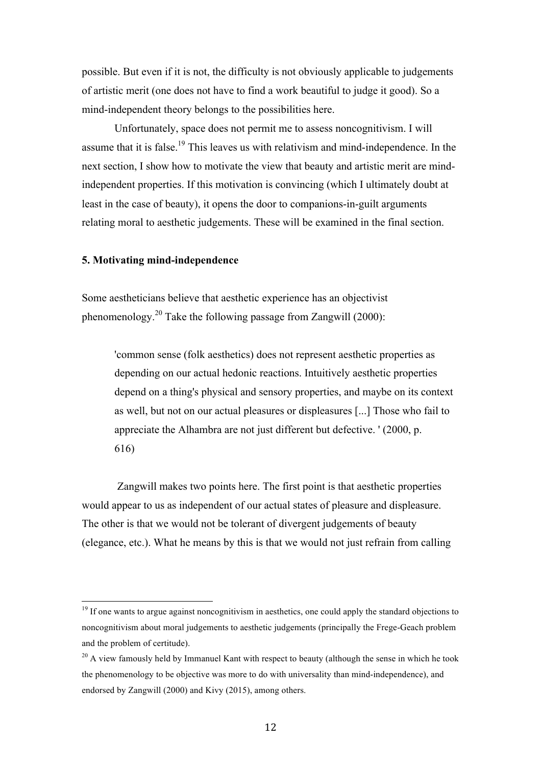possible. But even if it is not, the difficulty is not obviously applicable to judgements of artistic merit (one does not have to find a work beautiful to judge it good). So a mind-independent theory belongs to the possibilities here.

Unfortunately, space does not permit me to assess noncognitivism. I will assume that it is false.<sup>19</sup> This leaves us with relativism and mind-independence. In the next section, I show how to motivate the view that beauty and artistic merit are mindindependent properties. If this motivation is convincing (which I ultimately doubt at least in the case of beauty), it opens the door to companions-in-guilt arguments relating moral to aesthetic judgements. These will be examined in the final section.

## **5. Motivating mind-independence**

Some aestheticians believe that aesthetic experience has an objectivist phenomenology.<sup>20</sup> Take the following passage from Zangwill (2000):

> 'common sense (folk aesthetics) does not represent aesthetic properties as depending on our actual hedonic reactions. Intuitively aesthetic properties depend on a thing's physical and sensory properties, and maybe on its context as well, but not on our actual pleasures or displeasures [...] Those who fail to appreciate the Alhambra are not just different but defective. ' (2000, p. 616)

Zangwill makes two points here. The first point is that aesthetic properties would appear to us as independent of our actual states of pleasure and displeasure. The other is that we would not be tolerant of divergent judgements of beauty (elegance, etc.). What he means by this is that we would not just refrain from calling

<sup>&</sup>lt;sup>19</sup> If one wants to argue against noncognitivism in aesthetics, one could apply the standard objections to noncognitivism about moral judgements to aesthetic judgements (principally the Frege-Geach problem and the problem of certitude).

 $20$  A view famously held by Immanuel Kant with respect to beauty (although the sense in which he took the phenomenology to be objective was more to do with universality than mind-independence), and endorsed by Zangwill (2000) and Kivy (2015), among others.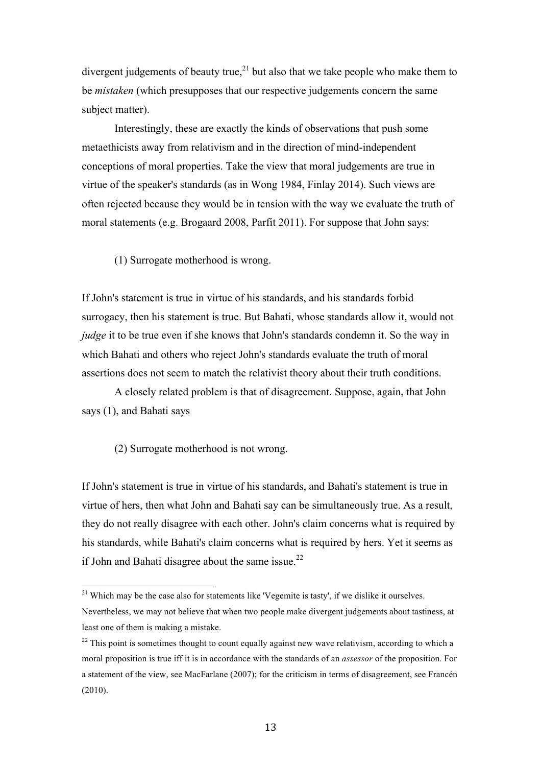divergent judgements of beauty true,<sup>21</sup> but also that we take people who make them to be *mistaken* (which presupposes that our respective judgements concern the same subject matter).

Interestingly, these are exactly the kinds of observations that push some metaethicists away from relativism and in the direction of mind-independent conceptions of moral properties. Take the view that moral judgements are true in virtue of the speaker's standards (as in Wong 1984, Finlay 2014). Such views are often rejected because they would be in tension with the way we evaluate the truth of moral statements (e.g. Brogaard 2008, Parfit 2011). For suppose that John says:

(1) Surrogate motherhood is wrong.

If John's statement is true in virtue of his standards, and his standards forbid surrogacy, then his statement is true. But Bahati, whose standards allow it, would not *judge* it to be true even if she knows that John's standards condemn it. So the way in which Bahati and others who reject John's standards evaluate the truth of moral assertions does not seem to match the relativist theory about their truth conditions.

A closely related problem is that of disagreement. Suppose, again, that John says (1), and Bahati says

(2) Surrogate motherhood is not wrong.

If John's statement is true in virtue of his standards, and Bahati's statement is true in virtue of hers, then what John and Bahati say can be simultaneously true. As a result, they do not really disagree with each other. John's claim concerns what is required by his standards, while Bahati's claim concerns what is required by hers. Yet it seems as if John and Bahati disagree about the same issue.<sup>22</sup>

 $21$  Which may be the case also for statements like 'Vegemite is tasty', if we dislike it ourselves.

Nevertheless, we may not believe that when two people make divergent judgements about tastiness, at least one of them is making a mistake.

<sup>&</sup>lt;sup>22</sup> This point is sometimes thought to count equally against new wave relativism, according to which a moral proposition is true iff it is in accordance with the standards of an *assessor* of the proposition. For a statement of the view, see MacFarlane (2007); for the criticism in terms of disagreement, see Francén (2010).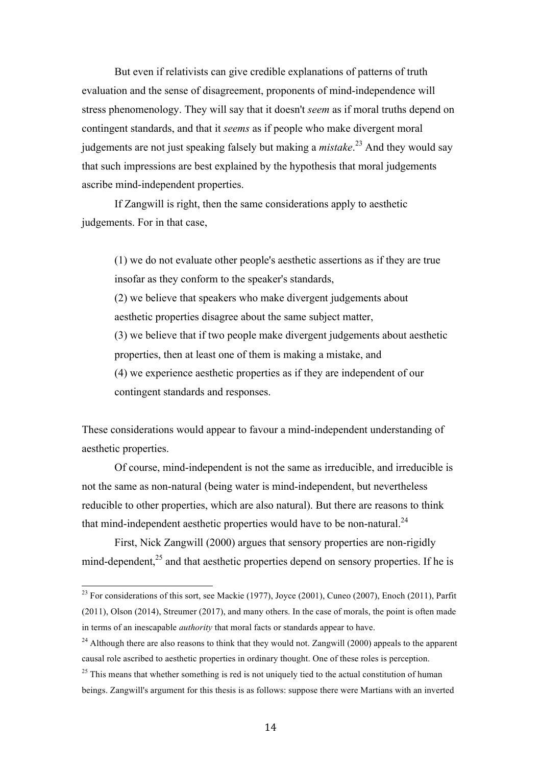But even if relativists can give credible explanations of patterns of truth evaluation and the sense of disagreement, proponents of mind-independence will stress phenomenology. They will say that it doesn't *seem* as if moral truths depend on contingent standards, and that it *seems* as if people who make divergent moral judgements are not just speaking falsely but making a *mistake*. <sup>23</sup> And they would say that such impressions are best explained by the hypothesis that moral judgements ascribe mind-independent properties.

If Zangwill is right, then the same considerations apply to aesthetic judgements. For in that case,

(1) we do not evaluate other people's aesthetic assertions as if they are true insofar as they conform to the speaker's standards, (2) we believe that speakers who make divergent judgements about aesthetic properties disagree about the same subject matter, (3) we believe that if two people make divergent judgements about aesthetic properties, then at least one of them is making a mistake, and (4) we experience aesthetic properties as if they are independent of our contingent standards and responses.

These considerations would appear to favour a mind-independent understanding of aesthetic properties.

Of course, mind-independent is not the same as irreducible, and irreducible is not the same as non-natural (being water is mind-independent, but nevertheless reducible to other properties, which are also natural). But there are reasons to think that mind-independent aesthetic properties would have to be non-natural.<sup>24</sup>

First, Nick Zangwill (2000) argues that sensory properties are non-rigidly mind-dependent.<sup>25</sup> and that aesthetic properties depend on sensory properties. If he is

<sup>&</sup>lt;sup>23</sup> For considerations of this sort, see Mackie (1977), Joyce (2001), Cuneo (2007), Enoch (2011), Parfit (2011), Olson (2014), Streumer (2017), and many others. In the case of morals, the point is often made in terms of an inescapable *authority* that moral facts or standards appear to have.

 $^{24}$  Although there are also reasons to think that they would not. Zangwill (2000) appeals to the apparent causal role ascribed to aesthetic properties in ordinary thought. One of these roles is perception.

 $25$  This means that whether something is red is not uniquely tied to the actual constitution of human beings. Zangwill's argument for this thesis is as follows: suppose there were Martians with an inverted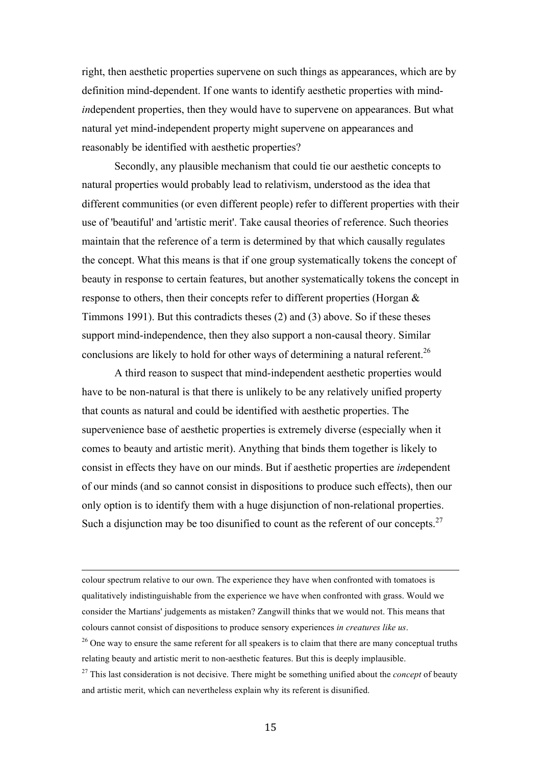right, then aesthetic properties supervene on such things as appearances, which are by definition mind-dependent. If one wants to identify aesthetic properties with mind*in*dependent properties, then they would have to supervene on appearances. But what natural yet mind-independent property might supervene on appearances and reasonably be identified with aesthetic properties?

Secondly, any plausible mechanism that could tie our aesthetic concepts to natural properties would probably lead to relativism, understood as the idea that different communities (or even different people) refer to different properties with their use of 'beautiful' and 'artistic merit'. Take causal theories of reference. Such theories maintain that the reference of a term is determined by that which causally regulates the concept. What this means is that if one group systematically tokens the concept of beauty in response to certain features, but another systematically tokens the concept in response to others, then their concepts refer to different properties (Horgan & Timmons 1991). But this contradicts theses (2) and (3) above. So if these theses support mind-independence, then they also support a non-causal theory. Similar conclusions are likely to hold for other ways of determining a natural referent.<sup>26</sup>

A third reason to suspect that mind-independent aesthetic properties would have to be non-natural is that there is unlikely to be any relatively unified property that counts as natural and could be identified with aesthetic properties. The supervenience base of aesthetic properties is extremely diverse (especially when it comes to beauty and artistic merit). Anything that binds them together is likely to consist in effects they have on our minds. But if aesthetic properties are *in*dependent of our minds (and so cannot consist in dispositions to produce such effects), then our only option is to identify them with a huge disjunction of non-relational properties. Such a disjunction may be too disunified to count as the referent of our concepts.<sup>27</sup>

<u> 1989 - Johann Stein, fransk politik (d. 1989)</u>

colour spectrum relative to our own. The experience they have when confronted with tomatoes is qualitatively indistinguishable from the experience we have when confronted with grass. Would we consider the Martians' judgements as mistaken? Zangwill thinks that we would not. This means that colours cannot consist of dispositions to produce sensory experiences *in creatures like us*.

<sup>&</sup>lt;sup>26</sup> One way to ensure the same referent for all speakers is to claim that there are many conceptual truths relating beauty and artistic merit to non-aesthetic features. But this is deeply implausible.

<sup>&</sup>lt;sup>27</sup> This last consideration is not decisive. There might be something unified about the *concept* of beauty and artistic merit, which can nevertheless explain why its referent is disunified.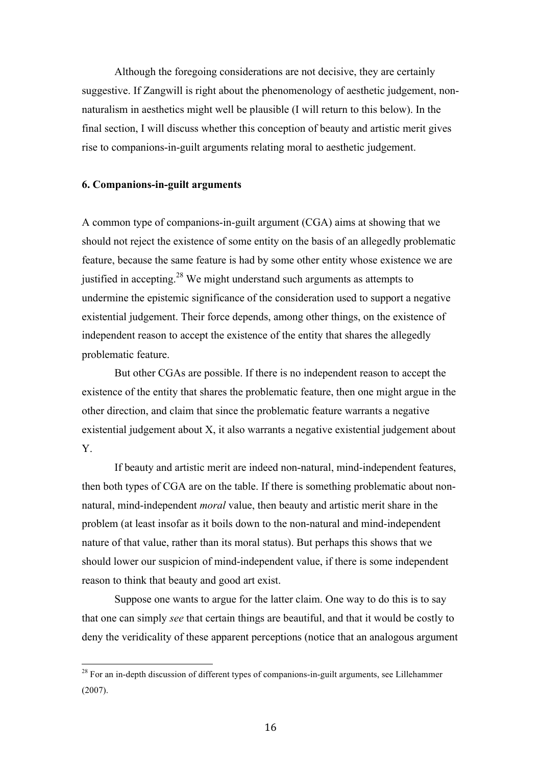Although the foregoing considerations are not decisive, they are certainly suggestive. If Zangwill is right about the phenomenology of aesthetic judgement, nonnaturalism in aesthetics might well be plausible (I will return to this below). In the final section, I will discuss whether this conception of beauty and artistic merit gives rise to companions-in-guilt arguments relating moral to aesthetic judgement.

## **6. Companions-in-guilt arguments**

A common type of companions-in-guilt argument (CGA) aims at showing that we should not reject the existence of some entity on the basis of an allegedly problematic feature, because the same feature is had by some other entity whose existence we are justified in accepting.<sup>28</sup> We might understand such arguments as attempts to undermine the epistemic significance of the consideration used to support a negative existential judgement. Their force depends, among other things, on the existence of independent reason to accept the existence of the entity that shares the allegedly problematic feature.

But other CGAs are possible. If there is no independent reason to accept the existence of the entity that shares the problematic feature, then one might argue in the other direction, and claim that since the problematic feature warrants a negative existential judgement about X, it also warrants a negative existential judgement about Y.

If beauty and artistic merit are indeed non-natural, mind-independent features, then both types of CGA are on the table. If there is something problematic about nonnatural, mind-independent *moral* value, then beauty and artistic merit share in the problem (at least insofar as it boils down to the non-natural and mind-independent nature of that value, rather than its moral status). But perhaps this shows that we should lower our suspicion of mind-independent value, if there is some independent reason to think that beauty and good art exist.

Suppose one wants to argue for the latter claim. One way to do this is to say that one can simply *see* that certain things are beautiful, and that it would be costly to deny the veridicality of these apparent perceptions (notice that an analogous argument

 $28$  For an in-depth discussion of different types of companions-in-guilt arguments, see Lillehammer (2007).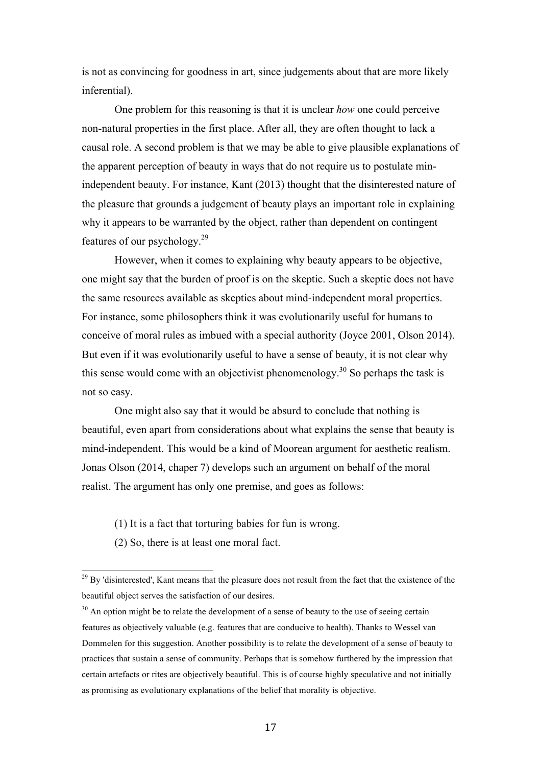is not as convincing for goodness in art, since judgements about that are more likely inferential).

One problem for this reasoning is that it is unclear *how* one could perceive non-natural properties in the first place. After all, they are often thought to lack a causal role. A second problem is that we may be able to give plausible explanations of the apparent perception of beauty in ways that do not require us to postulate minindependent beauty. For instance, Kant (2013) thought that the disinterested nature of the pleasure that grounds a judgement of beauty plays an important role in explaining why it appears to be warranted by the object, rather than dependent on contingent features of our psychology.<sup>29</sup>

However, when it comes to explaining why beauty appears to be objective, one might say that the burden of proof is on the skeptic. Such a skeptic does not have the same resources available as skeptics about mind-independent moral properties. For instance, some philosophers think it was evolutionarily useful for humans to conceive of moral rules as imbued with a special authority (Joyce 2001, Olson 2014). But even if it was evolutionarily useful to have a sense of beauty, it is not clear why this sense would come with an objectivist phenomenology.<sup>30</sup> So perhaps the task is not so easy.

One might also say that it would be absurd to conclude that nothing is beautiful, even apart from considerations about what explains the sense that beauty is mind-independent. This would be a kind of Moorean argument for aesthetic realism. Jonas Olson (2014, chaper 7) develops such an argument on behalf of the moral realist. The argument has only one premise, and goes as follows:

- (1) It is a fact that torturing babies for fun is wrong.
- (2) So, there is at least one moral fact.

<sup>&</sup>lt;sup>29</sup> By 'disinterested', Kant means that the pleasure does not result from the fact that the existence of the beautiful object serves the satisfaction of our desires.

<sup>&</sup>lt;sup>30</sup> An option might be to relate the development of a sense of beauty to the use of seeing certain features as objectively valuable (e.g. features that are conducive to health). Thanks to Wessel van Dommelen for this suggestion. Another possibility is to relate the development of a sense of beauty to practices that sustain a sense of community. Perhaps that is somehow furthered by the impression that certain artefacts or rites are objectively beautiful. This is of course highly speculative and not initially as promising as evolutionary explanations of the belief that morality is objective.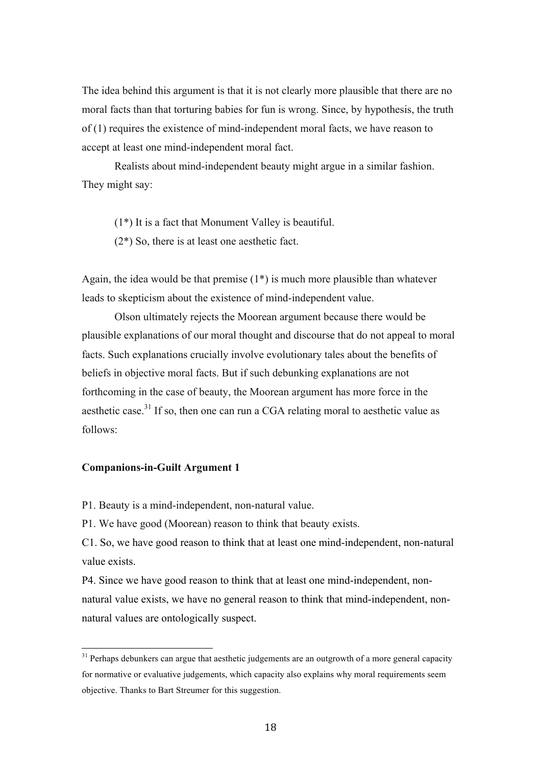The idea behind this argument is that it is not clearly more plausible that there are no moral facts than that torturing babies for fun is wrong. Since, by hypothesis, the truth of (1) requires the existence of mind-independent moral facts, we have reason to accept at least one mind-independent moral fact.

Realists about mind-independent beauty might argue in a similar fashion. They might say:

- (1\*) It is a fact that Monument Valley is beautiful.
- (2\*) So, there is at least one aesthetic fact.

Again, the idea would be that premise  $(1^*)$  is much more plausible than whatever leads to skepticism about the existence of mind-independent value.

Olson ultimately rejects the Moorean argument because there would be plausible explanations of our moral thought and discourse that do not appeal to moral facts. Such explanations crucially involve evolutionary tales about the benefits of beliefs in objective moral facts. But if such debunking explanations are not forthcoming in the case of beauty, the Moorean argument has more force in the aesthetic case.<sup>31</sup> If so, then one can run a CGA relating moral to aesthetic value as follows:

## **Companions-in-Guilt Argument 1**

P1. Beauty is a mind-independent, non-natural value.

P1. We have good (Moorean) reason to think that beauty exists.

C1. So, we have good reason to think that at least one mind-independent, non-natural value exists.

P4. Since we have good reason to think that at least one mind-independent, nonnatural value exists, we have no general reason to think that mind-independent, nonnatural values are ontologically suspect.

<sup>&</sup>lt;sup>31</sup> Perhaps debunkers can argue that aesthetic judgements are an outgrowth of a more general capacity for normative or evaluative judgements, which capacity also explains why moral requirements seem objective. Thanks to Bart Streumer for this suggestion.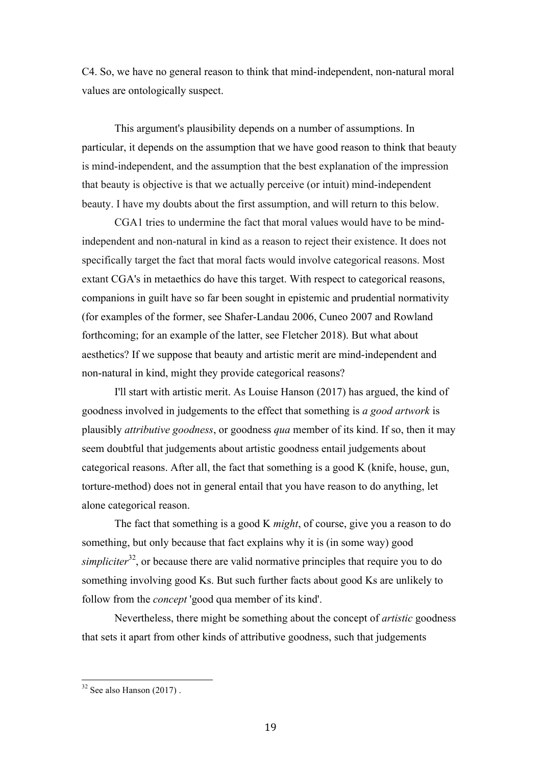C4. So, we have no general reason to think that mind-independent, non-natural moral values are ontologically suspect.

This argument's plausibility depends on a number of assumptions. In particular, it depends on the assumption that we have good reason to think that beauty is mind-independent, and the assumption that the best explanation of the impression that beauty is objective is that we actually perceive (or intuit) mind-independent beauty. I have my doubts about the first assumption, and will return to this below.

CGA1 tries to undermine the fact that moral values would have to be mindindependent and non-natural in kind as a reason to reject their existence. It does not specifically target the fact that moral facts would involve categorical reasons. Most extant CGA's in metaethics do have this target. With respect to categorical reasons, companions in guilt have so far been sought in epistemic and prudential normativity (for examples of the former, see Shafer-Landau 2006, Cuneo 2007 and Rowland forthcoming; for an example of the latter, see Fletcher 2018). But what about aesthetics? If we suppose that beauty and artistic merit are mind-independent and non-natural in kind, might they provide categorical reasons?

I'll start with artistic merit. As Louise Hanson (2017) has argued, the kind of goodness involved in judgements to the effect that something is *a good artwork* is plausibly *attributive goodness*, or goodness *qua* member of its kind. If so, then it may seem doubtful that judgements about artistic goodness entail judgements about categorical reasons. After all, the fact that something is a good K (knife, house, gun, torture-method) does not in general entail that you have reason to do anything, let alone categorical reason.

The fact that something is a good K *might*, of course, give you a reason to do something, but only because that fact explains why it is (in some way) good *simpliciter*<sup>32</sup>, or because there are valid normative principles that require you to do something involving good Ks. But such further facts about good Ks are unlikely to follow from the *concept* 'good qua member of its kind'.

Nevertheless, there might be something about the concept of *artistic* goodness that sets it apart from other kinds of attributive goodness, such that judgements

 $32$  See also Hanson (2017).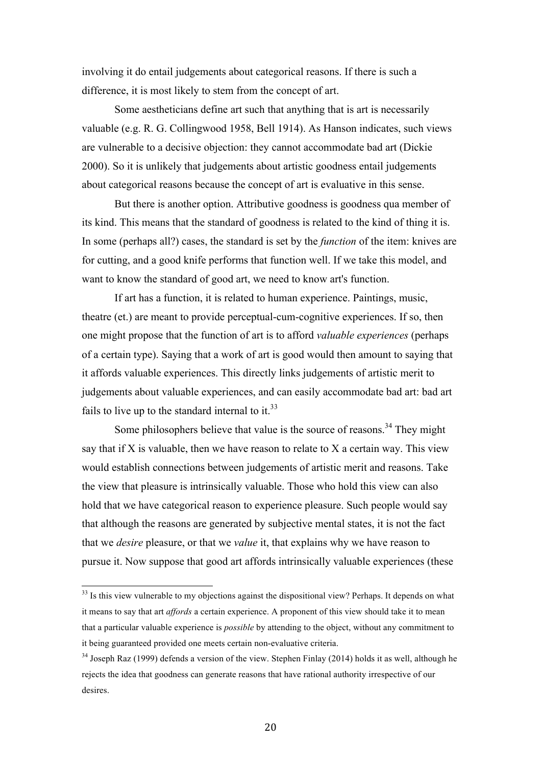involving it do entail judgements about categorical reasons. If there is such a difference, it is most likely to stem from the concept of art.

Some aestheticians define art such that anything that is art is necessarily valuable (e.g. R. G. Collingwood 1958, Bell 1914). As Hanson indicates, such views are vulnerable to a decisive objection: they cannot accommodate bad art (Dickie 2000). So it is unlikely that judgements about artistic goodness entail judgements about categorical reasons because the concept of art is evaluative in this sense.

But there is another option. Attributive goodness is goodness qua member of its kind. This means that the standard of goodness is related to the kind of thing it is. In some (perhaps all?) cases, the standard is set by the *function* of the item: knives are for cutting, and a good knife performs that function well. If we take this model, and want to know the standard of good art, we need to know art's function.

If art has a function, it is related to human experience. Paintings, music, theatre (et.) are meant to provide perceptual-cum-cognitive experiences. If so, then one might propose that the function of art is to afford *valuable experiences* (perhaps of a certain type). Saying that a work of art is good would then amount to saying that it affords valuable experiences. This directly links judgements of artistic merit to judgements about valuable experiences, and can easily accommodate bad art: bad art fails to live up to the standard internal to it.  $33$ 

Some philosophers believe that value is the source of reasons.<sup>34</sup> They might say that if X is valuable, then we have reason to relate to X a certain way. This view would establish connections between judgements of artistic merit and reasons. Take the view that pleasure is intrinsically valuable. Those who hold this view can also hold that we have categorical reason to experience pleasure. Such people would say that although the reasons are generated by subjective mental states, it is not the fact that we *desire* pleasure, or that we *value* it, that explains why we have reason to pursue it. Now suppose that good art affords intrinsically valuable experiences (these

 $33$  Is this view vulnerable to my objections against the dispositional view? Perhaps. It depends on what it means to say that art *affords* a certain experience. A proponent of this view should take it to mean that a particular valuable experience is *possible* by attending to the object, without any commitment to it being guaranteed provided one meets certain non-evaluative criteria.

<sup>34</sup> Joseph Raz (1999) defends a version of the view. Stephen Finlay (2014) holds it as well, although he rejects the idea that goodness can generate reasons that have rational authority irrespective of our desires.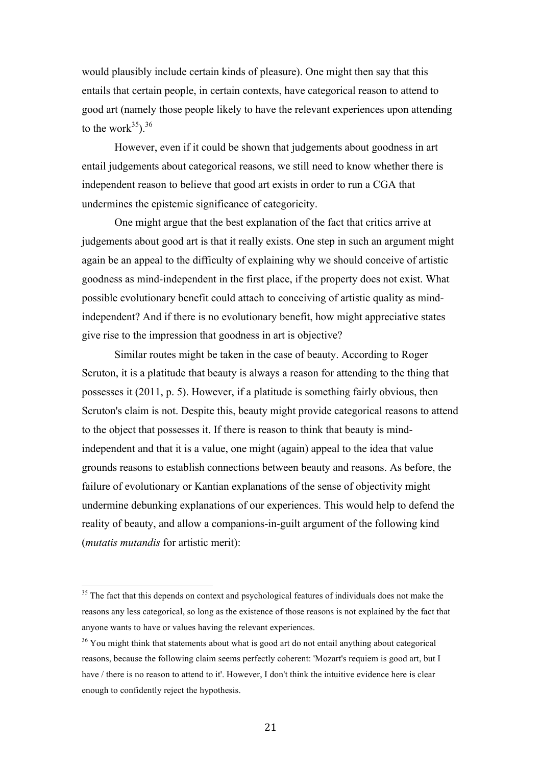would plausibly include certain kinds of pleasure). One might then say that this entails that certain people, in certain contexts, have categorical reason to attend to good art (namely those people likely to have the relevant experiences upon attending to the work $35$ ).  $36$ 

However, even if it could be shown that judgements about goodness in art entail judgements about categorical reasons, we still need to know whether there is independent reason to believe that good art exists in order to run a CGA that undermines the epistemic significance of categoricity.

One might argue that the best explanation of the fact that critics arrive at judgements about good art is that it really exists. One step in such an argument might again be an appeal to the difficulty of explaining why we should conceive of artistic goodness as mind-independent in the first place, if the property does not exist. What possible evolutionary benefit could attach to conceiving of artistic quality as mindindependent? And if there is no evolutionary benefit, how might appreciative states give rise to the impression that goodness in art is objective?

Similar routes might be taken in the case of beauty. According to Roger Scruton, it is a platitude that beauty is always a reason for attending to the thing that possesses it (2011, p. 5). However, if a platitude is something fairly obvious, then Scruton's claim is not. Despite this, beauty might provide categorical reasons to attend to the object that possesses it. If there is reason to think that beauty is mindindependent and that it is a value, one might (again) appeal to the idea that value grounds reasons to establish connections between beauty and reasons. As before, the failure of evolutionary or Kantian explanations of the sense of objectivity might undermine debunking explanations of our experiences. This would help to defend the reality of beauty, and allow a companions-in-guilt argument of the following kind (*mutatis mutandis* for artistic merit):

<sup>&</sup>lt;sup>35</sup> The fact that this depends on context and psychological features of individuals does not make the reasons any less categorical, so long as the existence of those reasons is not explained by the fact that anyone wants to have or values having the relevant experiences.

<sup>&</sup>lt;sup>36</sup> You might think that statements about what is good art do not entail anything about categorical reasons, because the following claim seems perfectly coherent: 'Mozart's requiem is good art, but I have / there is no reason to attend to it'. However, I don't think the intuitive evidence here is clear enough to confidently reject the hypothesis.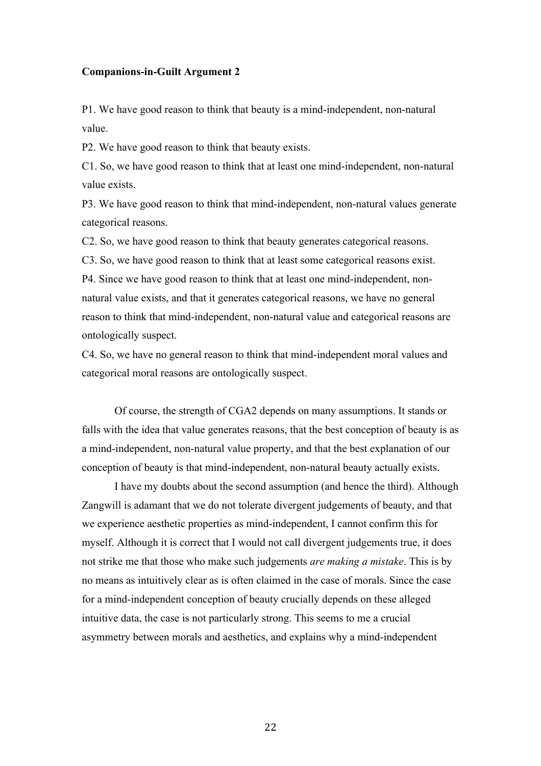#### **Companions-in-Guilt Argument 2**

P1. We have good reason to think that beauty is a mind-independent, non-natural value.

P2. We have good reason to think that beauty exists.

C1. So, we have good reason to think that at least one mind-independent, non-natural value exists.

P3. We have good reason to think that mind-independent, non-natural values generate categorical reasons.

C2. So, we have good reason to think that beauty generates categorical reasons.

C3. So, we have good reason to think that at least some categorical reasons exist. P4. Since we have good reason to think that at least one mind-independent, nonnatural value exists, and that it generates categorical reasons, we have no general reason to think that mind-independent, non-natural value and categorical reasons are ontologically suspect.

C4. So, we have no general reason to think that mind-independent moral values and categorical moral reasons are ontologically suspect.

Of course, the strength of CGA2 depends on many assumptions. It stands or falls with the idea that value generates reasons, that the best conception of beauty is as a mind-independent, non-natural value property, and that the best explanation of our conception of beauty is that mind-independent, non-natural beauty actually exists.

I have my doubts about the second assumption (and hence the third). Although Zangwill is adamant that we do not tolerate divergent judgements of beauty, and that we experience aesthetic properties as mind-independent, I cannot confirm this for myself. Although it is correct that I would not call divergent judgements true, it does not strike me that those who make such judgements *are making a mistake*. This is by no means as intuitively clear as is often claimed in the case of morals. Since the case for a mind-independent conception of beauty crucially depends on these alleged intuitive data, the case is not particularly strong. This seems to me a crucial asymmetry between morals and aesthetics, and explains why a mind-independent

22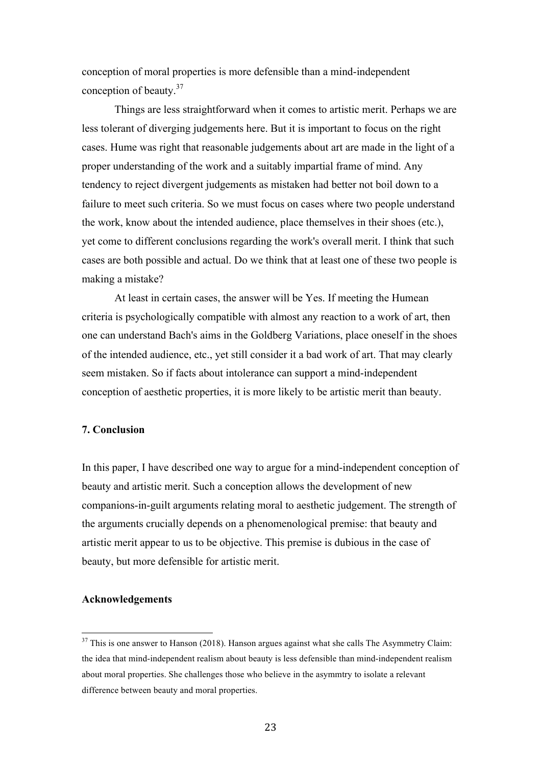conception of moral properties is more defensible than a mind-independent conception of beauty.<sup>37</sup>

Things are less straightforward when it comes to artistic merit. Perhaps we are less tolerant of diverging judgements here. But it is important to focus on the right cases. Hume was right that reasonable judgements about art are made in the light of a proper understanding of the work and a suitably impartial frame of mind. Any tendency to reject divergent judgements as mistaken had better not boil down to a failure to meet such criteria. So we must focus on cases where two people understand the work, know about the intended audience, place themselves in their shoes (etc.), yet come to different conclusions regarding the work's overall merit. I think that such cases are both possible and actual. Do we think that at least one of these two people is making a mistake?

At least in certain cases, the answer will be Yes. If meeting the Humean criteria is psychologically compatible with almost any reaction to a work of art, then one can understand Bach's aims in the Goldberg Variations, place oneself in the shoes of the intended audience, etc., yet still consider it a bad work of art. That may clearly seem mistaken. So if facts about intolerance can support a mind-independent conception of aesthetic properties, it is more likely to be artistic merit than beauty.

#### **7. Conclusion**

In this paper, I have described one way to argue for a mind-independent conception of beauty and artistic merit. Such a conception allows the development of new companions-in-guilt arguments relating moral to aesthetic judgement. The strength of the arguments crucially depends on a phenomenological premise: that beauty and artistic merit appear to us to be objective. This premise is dubious in the case of beauty, but more defensible for artistic merit.

## **Acknowledgements**

 $37$  This is one answer to Hanson (2018). Hanson argues against what she calls The Asymmetry Claim: the idea that mind-independent realism about beauty is less defensible than mind-independent realism about moral properties. She challenges those who believe in the asymmtry to isolate a relevant difference between beauty and moral properties.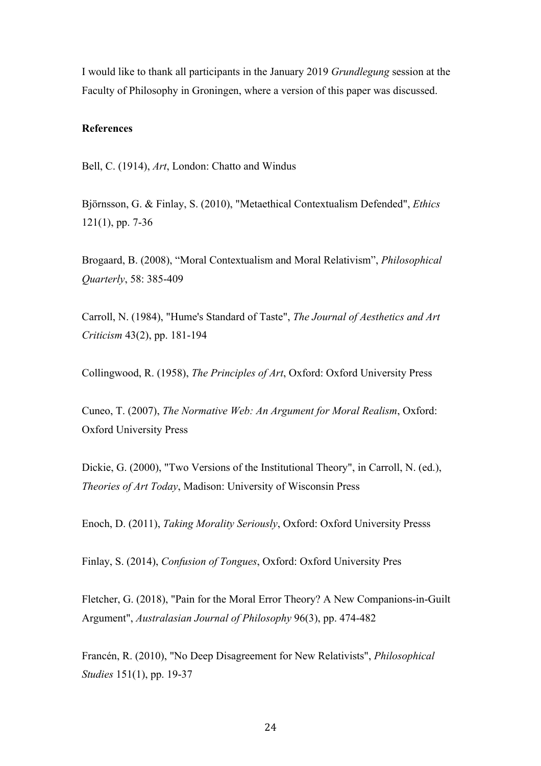I would like to thank all participants in the January 2019 *Grundlegung* session at the Faculty of Philosophy in Groningen, where a version of this paper was discussed.

## **References**

Bell, C. (1914), *Art*, London: Chatto and Windus

Björnsson, G. & Finlay, S. (2010), "Metaethical Contextualism Defended", *Ethics*  121(1), pp. 7-36

Brogaard, B. (2008), "Moral Contextualism and Moral Relativism", *Philosophical Quarterly*, 58: 385-409

Carroll, N. (1984), "Hume's Standard of Taste", *The Journal of Aesthetics and Art Criticism* 43(2), pp. 181-194

Collingwood, R. (1958), *The Principles of Art*, Oxford: Oxford University Press

Cuneo, T. (2007), *The Normative Web: An Argument for Moral Realism*, Oxford: Oxford University Press

Dickie, G. (2000), "Two Versions of the Institutional Theory", in Carroll, N. (ed.), *Theories of Art Today*, Madison: University of Wisconsin Press

Enoch, D. (2011), *Taking Morality Seriously*, Oxford: Oxford University Presss

Finlay, S. (2014), *Confusion of Tongues*, Oxford: Oxford University Pres

Fletcher, G. (2018), "Pain for the Moral Error Theory? A New Companions-in-Guilt Argument", *Australasian Journal of Philosophy* 96(3), pp. 474-482

Francén, R. (2010), "No Deep Disagreement for New Relativists", *Philosophical Studies* 151(1), pp. 19-37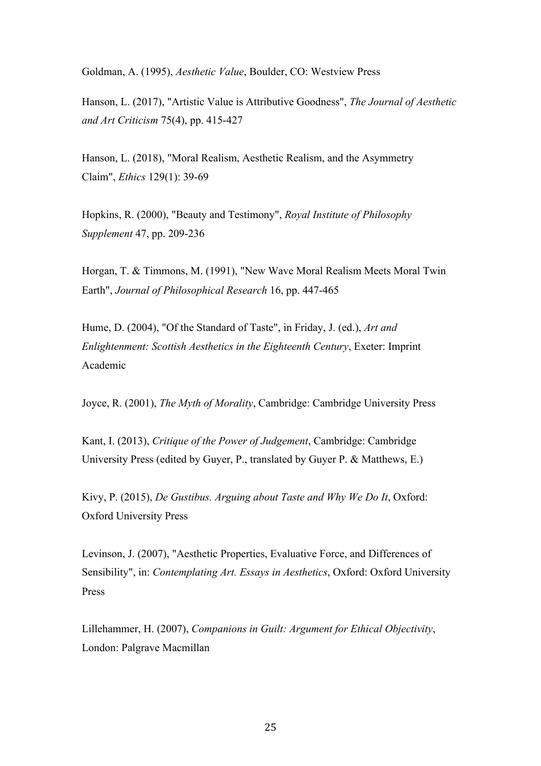Goldman, A. (1995), *Aesthetic Value*, Boulder, CO: Westview Press

Hanson, L. (2017), "Artistic Value is Attributive Goodness", *The Journal of Aesthetic and Art Criticism* 75(4), pp. 415-427

Hanson, L. (2018), "Moral Realism, Aesthetic Realism, and the Asymmetry Claim", *Ethics* 129(1): 39-69

Hopkins, R. (2000), "Beauty and Testimony", *Royal Institute of Philosophy Supplement* 47, pp. 209-236

Horgan, T. & Timmons, M. (1991), "New Wave Moral Realism Meets Moral Twin Earth", *Journal of Philosophical Research* 16, pp. 447-465

Hume, D. (2004), "Of the Standard of Taste", in Friday, J. (ed.), *Art and Enlightenment: Scottish Aesthetics in the Eighteenth Century*, Exeter: Imprint Academic

Joyce, R. (2001), *The Myth of Morality*, Cambridge: Cambridge University Press

Kant, I. (2013), *Critique of the Power of Judgement*, Cambridge: Cambridge University Press (edited by Guyer, P., translated by Guyer P. & Matthews, E.)

Kivy, P. (2015), *De Gustibus. Arguing about Taste and Why We Do It*, Oxford: Oxford University Press

Levinson, J. (2007), "Aesthetic Properties, Evaluative Force, and Differences of Sensibility", in: *Contemplating Art. Essays in Aesthetics*, Oxford: Oxford University Press

Lillehammer, H. (2007), *Companions in Guilt: Argument for Ethical Objectivity*, London: Palgrave Macmillan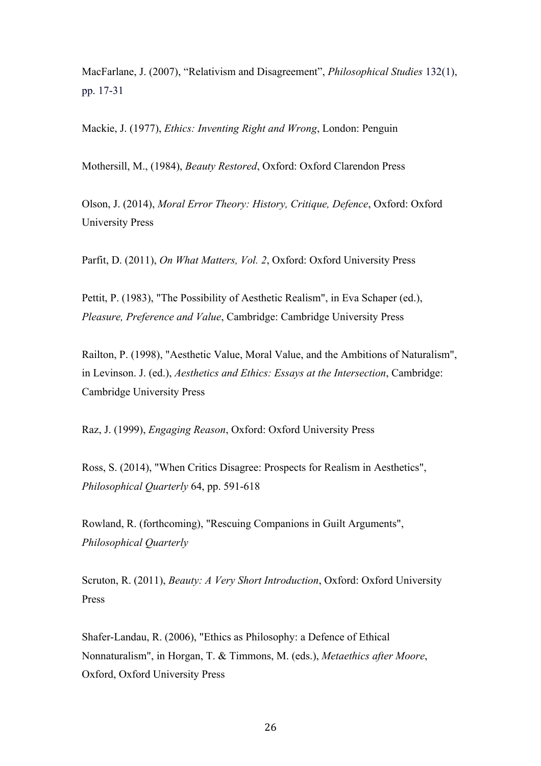MacFarlane, J. (2007), "Relativism and Disagreement", *Philosophical Studies* 132(1), pp. 17-31

Mackie, J. (1977), *Ethics: Inventing Right and Wrong*, London: Penguin

Mothersill, M., (1984), *Beauty Restored*, Oxford: Oxford Clarendon Press

Olson, J. (2014), *Moral Error Theory: History, Critique, Defence*, Oxford: Oxford University Press

Parfit, D. (2011), *On What Matters, Vol. 2*, Oxford: Oxford University Press

Pettit, P. (1983), "The Possibility of Aesthetic Realism", in Eva Schaper (ed.), *Pleasure, Preference and Value*, Cambridge: Cambridge University Press

Railton, P. (1998), "Aesthetic Value, Moral Value, and the Ambitions of Naturalism", in Levinson. J. (ed.), *Aesthetics and Ethics: Essays at the Intersection*, Cambridge: Cambridge University Press

Raz, J. (1999), *Engaging Reason*, Oxford: Oxford University Press

Ross, S. (2014), "When Critics Disagree: Prospects for Realism in Aesthetics", *Philosophical Quarterly* 64, pp. 591-618

Rowland, R. (forthcoming), "Rescuing Companions in Guilt Arguments", *Philosophical Quarterly*

Scruton, R. (2011), *Beauty: A Very Short Introduction*, Oxford: Oxford University Press

Shafer-Landau, R. (2006), "Ethics as Philosophy: a Defence of Ethical Nonnaturalism", in Horgan, T. & Timmons, M. (eds.), *Metaethics after Moore*, Oxford, Oxford University Press